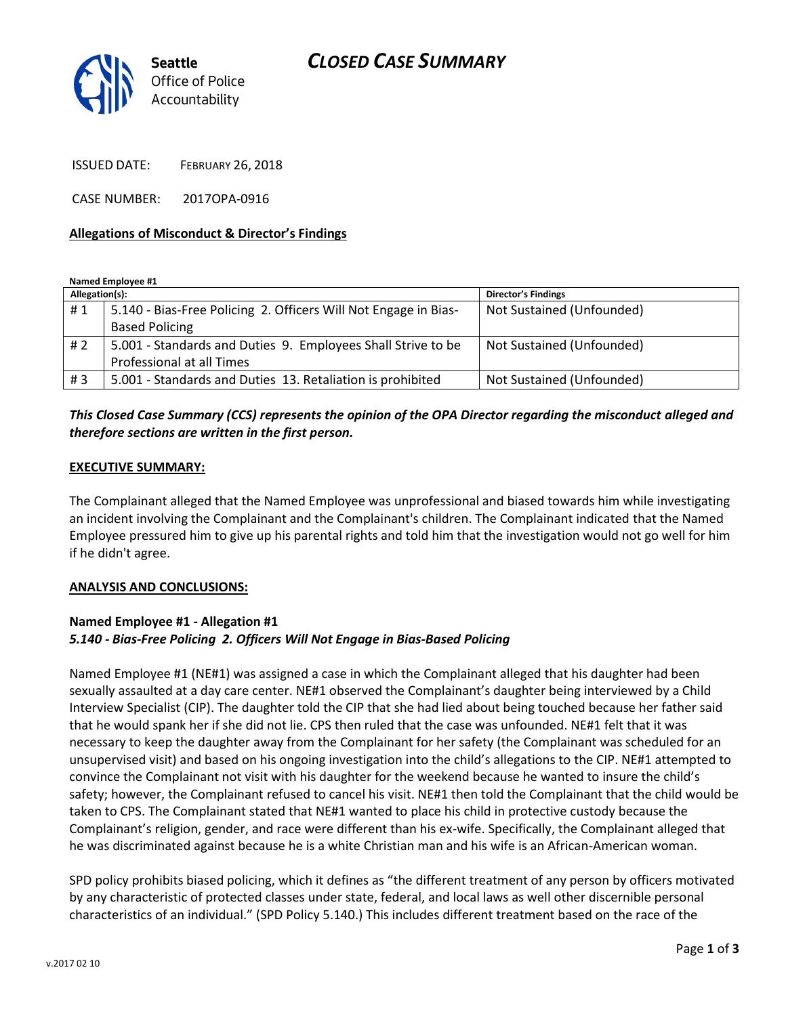# *CLOSED CASE SUMMARY*



ISSUED DATE: FEBRUARY 26, 2018

CASE NUMBER: 2017OPA-0916

#### **Allegations of Misconduct & Director's Findings**

**Named Employee #1**

| Allegation(s): |                                                                 | <b>Director's Findings</b> |
|----------------|-----------------------------------------------------------------|----------------------------|
| #1             | 5.140 - Bias-Free Policing 2. Officers Will Not Engage in Bias- | Not Sustained (Unfounded)  |
|                | <b>Based Policing</b>                                           |                            |
| #2             | 5.001 - Standards and Duties 9. Employees Shall Strive to be    | Not Sustained (Unfounded)  |
|                | Professional at all Times                                       |                            |
| #3             | 5.001 - Standards and Duties 13. Retaliation is prohibited      | Not Sustained (Unfounded)  |

### *This Closed Case Summary (CCS) represents the opinion of the OPA Director regarding the misconduct alleged and therefore sections are written in the first person.*

#### **EXECUTIVE SUMMARY:**

The Complainant alleged that the Named Employee was unprofessional and biased towards him while investigating an incident involving the Complainant and the Complainant's children. The Complainant indicated that the Named Employee pressured him to give up his parental rights and told him that the investigation would not go well for him if he didn't agree.

#### **ANALYSIS AND CONCLUSIONS:**

## **Named Employee #1 - Allegation #1** *5.140 - Bias-Free Policing 2. Officers Will Not Engage in Bias-Based Policing*

Named Employee #1 (NE#1) was assigned a case in which the Complainant alleged that his daughter had been sexually assaulted at a day care center. NE#1 observed the Complainant's daughter being interviewed by a Child Interview Specialist (CIP). The daughter told the CIP that she had lied about being touched because her father said that he would spank her if she did not lie. CPS then ruled that the case was unfounded. NE#1 felt that it was necessary to keep the daughter away from the Complainant for her safety (the Complainant was scheduled for an unsupervised visit) and based on his ongoing investigation into the child's allegations to the CIP. NE#1 attempted to convince the Complainant not visit with his daughter for the weekend because he wanted to insure the child's safety; however, the Complainant refused to cancel his visit. NE#1 then told the Complainant that the child would be taken to CPS. The Complainant stated that NE#1 wanted to place his child in protective custody because the Complainant's religion, gender, and race were different than his ex-wife. Specifically, the Complainant alleged that he was discriminated against because he is a white Christian man and his wife is an African-American woman.

SPD policy prohibits biased policing, which it defines as "the different treatment of any person by officers motivated by any characteristic of protected classes under state, federal, and local laws as well other discernible personal characteristics of an individual." (SPD Policy 5.140.) This includes different treatment based on the race of the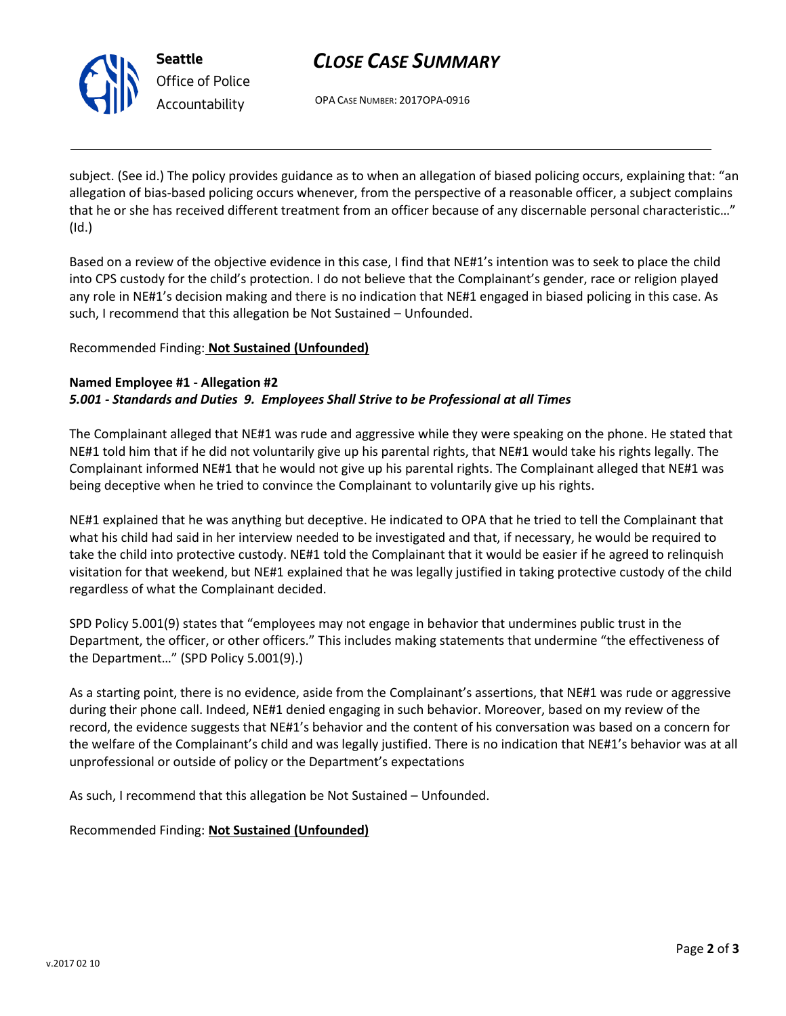

**Seattle** *Office of Police Accountability*

# *CLOSE CASE SUMMARY*

OPA CASE NUMBER: 2017OPA-0916

subject. (See id.) The policy provides guidance as to when an allegation of biased policing occurs, explaining that: "an allegation of bias-based policing occurs whenever, from the perspective of a reasonable officer, a subject complains that he or she has received different treatment from an officer because of any discernable personal characteristic…" (Id.)

Based on a review of the objective evidence in this case, I find that NE#1's intention was to seek to place the child into CPS custody for the child's protection. I do not believe that the Complainant's gender, race or religion played any role in NE#1's decision making and there is no indication that NE#1 engaged in biased policing in this case. As such, I recommend that this allegation be Not Sustained – Unfounded.

### Recommended Finding: **Not Sustained (Unfounded)**

### **Named Employee #1 - Allegation #2** *5.001 - Standards and Duties 9. Employees Shall Strive to be Professional at all Times*

The Complainant alleged that NE#1 was rude and aggressive while they were speaking on the phone. He stated that NE#1 told him that if he did not voluntarily give up his parental rights, that NE#1 would take his rights legally. The Complainant informed NE#1 that he would not give up his parental rights. The Complainant alleged that NE#1 was being deceptive when he tried to convince the Complainant to voluntarily give up his rights.

NE#1 explained that he was anything but deceptive. He indicated to OPA that he tried to tell the Complainant that what his child had said in her interview needed to be investigated and that, if necessary, he would be required to take the child into protective custody. NE#1 told the Complainant that it would be easier if he agreed to relinquish visitation for that weekend, but NE#1 explained that he was legally justified in taking protective custody of the child regardless of what the Complainant decided.

SPD Policy 5.001(9) states that "employees may not engage in behavior that undermines public trust in the Department, the officer, or other officers." This includes making statements that undermine "the effectiveness of the Department…" (SPD Policy 5.001(9).)

As a starting point, there is no evidence, aside from the Complainant's assertions, that NE#1 was rude or aggressive during their phone call. Indeed, NE#1 denied engaging in such behavior. Moreover, based on my review of the record, the evidence suggests that NE#1's behavior and the content of his conversation was based on a concern for the welfare of the Complainant's child and was legally justified. There is no indication that NE#1's behavior was at all unprofessional or outside of policy or the Department's expectations

As such, I recommend that this allegation be Not Sustained – Unfounded.

## Recommended Finding: **Not Sustained (Unfounded)**